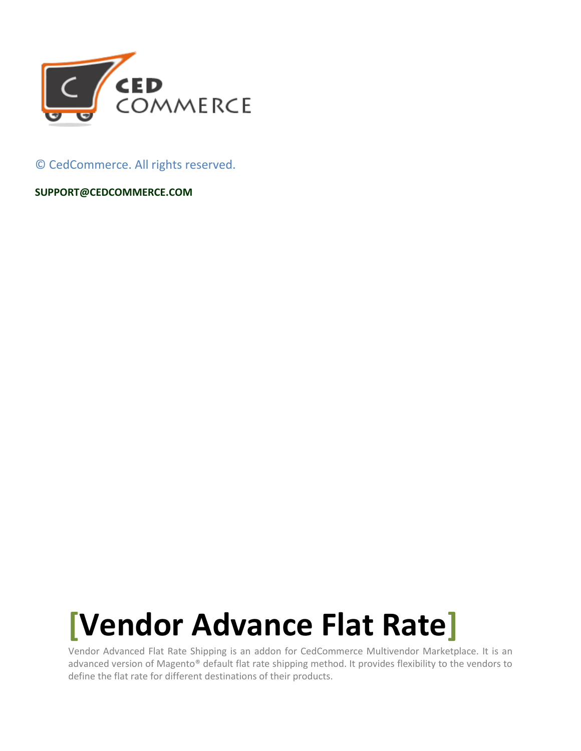

© CedCommerce. All rights reserved.

**SUPPORT@CEDCOMMERCE.COM**

# **[Vendor Advance Flat Rate]**

Vendor Advanced Flat Rate Shipping is an addon for CedCommerce Multivendor Marketplace. It is an advanced version of Magento® default flat rate shipping method. It provides flexibility to the vendors to define the flat rate for different destinations of their products.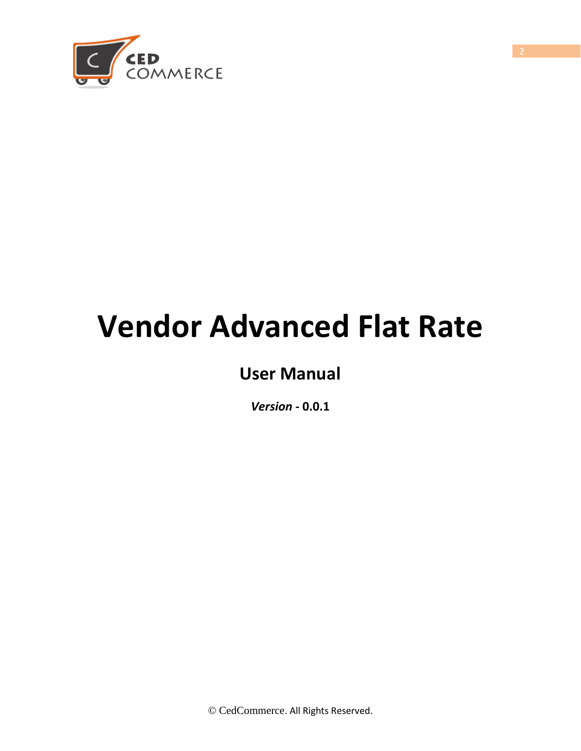

# **Vendor Advanced Flat Rate**

# **User Manual**

*Version* **- 0.0.1**

© CedCommerce. All Rights Reserved.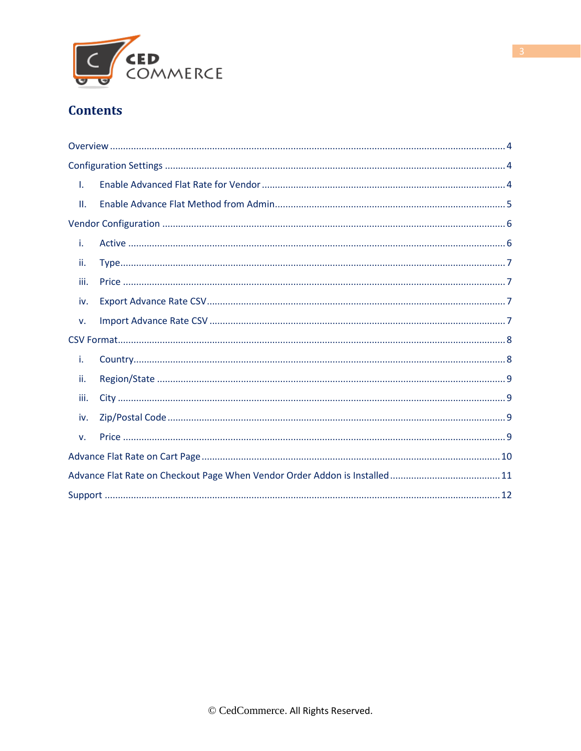

### **Contents**

| T.   |  |
|------|--|
| ΙΙ.  |  |
|      |  |
| i.   |  |
| ii.  |  |
| iii. |  |
| iv.  |  |
| v.   |  |
|      |  |
| i.   |  |
| ii.  |  |
| iii. |  |
| iv.  |  |
| v.   |  |
|      |  |
|      |  |
|      |  |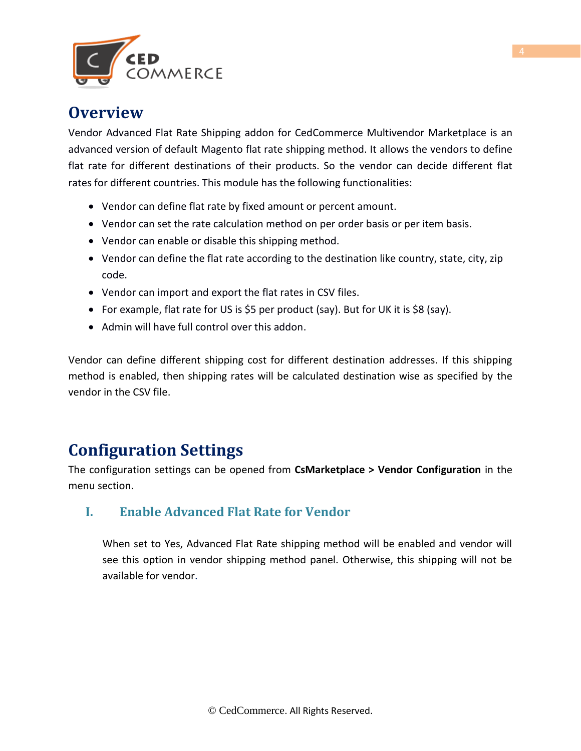

### **Overview**

Vendor Advanced Flat Rate Shipping addon for CedCommerce Multivendor Marketplace is an advanced version of default Magento flat rate shipping method. It allows the vendors to define flat rate for different destinations of their products. So the vendor can decide different flat rates for different countries. This module has the following functionalities:

- Vendor can define flat rate by fixed amount or percent amount.
- Vendor can set the rate calculation method on per order basis or per item basis.
- Vendor can enable or disable this shipping method.
- Vendor can define the flat rate according to the destination like country, state, city, zip code.
- Vendor can import and export the flat rates in CSV files.
- For example, flat rate for US is  $$5$  per product (say). But for UK it is  $$8$  (say).
- Admin will have full control over this addon.

Vendor can define different shipping cost for different destination addresses. If this shipping method is enabled, then shipping rates will be calculated destination wise as specified by the vendor in the CSV file.

## **Configuration Settings**

The configuration settings can be opened from **CsMarketplace > Vendor Configuration** in the menu section.

#### **I. Enable Advanced Flat Rate for Vendor**

When set to Yes, Advanced Flat Rate shipping method will be enabled and vendor will see this option in vendor shipping method panel. Otherwise, this shipping will not be available for vendor.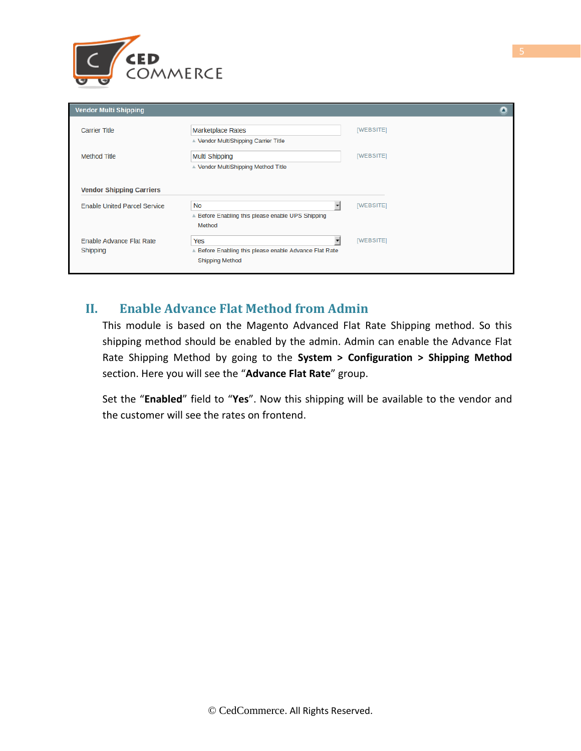

| <b>Vendor Multi Shipping</b>         |                                                                                         | Δ         |
|--------------------------------------|-----------------------------------------------------------------------------------------|-----------|
| <b>Carrier Title</b>                 | <b>Marketplace Rates</b><br>A Vendor MultiShipping Carrier Title                        | [WEBSITE] |
| Method Title                         | <b>Multi Shipping</b><br>Vendor MultiShipping Method Title                              | [WEBSITE] |
| <b>Vendor Shipping Carriers</b>      |                                                                                         |           |
| <b>Enable United Parcel Service</b>  | <b>No</b><br>A Before Enabling this please enable UPS Shipping<br>Method                | [WEBSITE] |
| Enable Advance Flat Rate<br>Shipping | Yes<br>A Before Enabling this please enable Advance Flat Rate<br><b>Shipping Method</b> | [WEBSITE] |

#### **II. Enable Advance Flat Method from Admin**

This module is based on the Magento Advanced Flat Rate Shipping method. So this shipping method should be enabled by the admin. Admin can enable the Advance Flat Rate Shipping Method by going to the **System > Configuration > Shipping Method** section. Here you will see the "**Advance Flat Rate**" group.

Set the "**Enabled**" field to "**Yes**". Now this shipping will be available to the vendor and the customer will see the rates on frontend.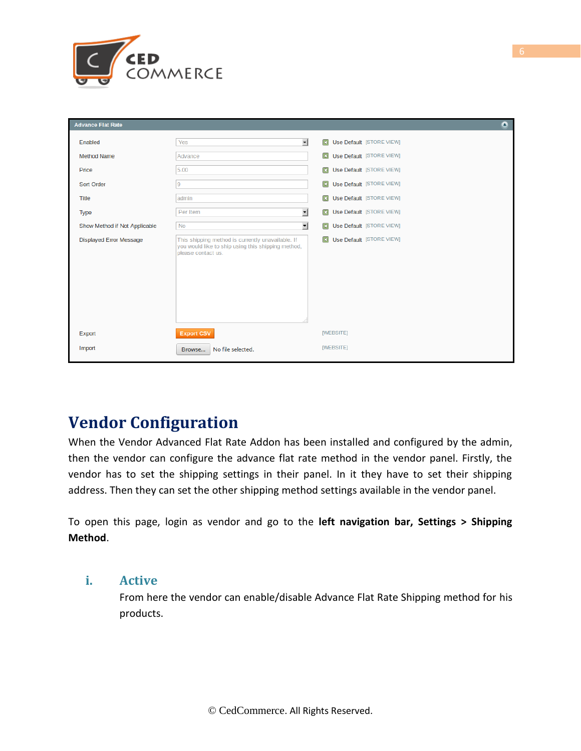

| <b>Advance Flat Rate</b>       |                                                                                                                               | ٥                                        |
|--------------------------------|-------------------------------------------------------------------------------------------------------------------------------|------------------------------------------|
| Enabled                        | $\overline{ }$<br>Yes                                                                                                         | $\Box$<br>Use Default [STORE VIEW]       |
| <b>Method Name</b>             | Advance                                                                                                                       | $\Box$<br>Use Default [STORE VIEW]       |
| Price                          | 5.00                                                                                                                          | Use Default [STORE VIEW]<br>$\boxed{13}$ |
| Sort Order                     | 9                                                                                                                             | $\boxed{23}$<br>Use Default [STORE VIEW] |
| <b>Title</b>                   | admin                                                                                                                         | Use Default [STORE VIEW]<br>回            |
| <b>Type</b>                    | ▼<br>Per Item                                                                                                                 | $\boxed{13}$<br>Use Default [STORE VIEW] |
| Show Method if Not Applicable  | 회<br><b>No</b>                                                                                                                | $\boxed{13}$<br>Use Default [STORE VIEW] |
| <b>Displayed Error Message</b> | This shipping method is currently unavailable. If<br>you would like to ship using this shipping method,<br>please contact us. | <b>El Use Default</b> [STORE VIEW]       |
| Export                         | <b>Export CSV</b>                                                                                                             | [WEBSITE]                                |
| Import                         | No file selected.<br>Browse                                                                                                   | [WEBSITE]                                |

# **Vendor Configuration**

When the Vendor Advanced Flat Rate Addon has been installed and configured by the admin, then the vendor can configure the advance flat rate method in the vendor panel. Firstly, the vendor has to set the shipping settings in their panel. In it they have to set their shipping address. Then they can set the other shipping method settings available in the vendor panel.

To open this page, login as vendor and go to the **left navigation bar, Settings > Shipping Method**.

#### **i. Active**

From here the vendor can enable/disable Advance Flat Rate Shipping method for his products.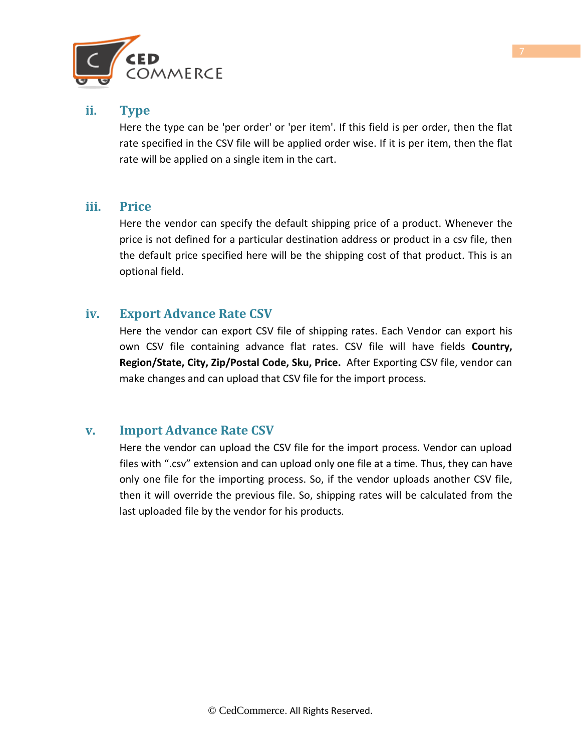

#### **ii. Type**

Here the type can be 'per order' or 'per item'. If this field is per order, then the flat rate specified in the CSV file will be applied order wise. If it is per item, then the flat rate will be applied on a single item in the cart.

#### **iii. Price**

Here the vendor can specify the default shipping price of a product. Whenever the price is not defined for a particular destination address or product in a csv file, then the default price specified here will be the shipping cost of that product. This is an optional field.

#### **iv. Export Advance Rate CSV**

Here the vendor can export CSV file of shipping rates. Each Vendor can export his own CSV file containing advance flat rates. CSV file will have fields **Country, Region/State, City, Zip/Postal Code, Sku, Price.** After Exporting CSV file, vendor can make changes and can upload that CSV file for the import process.

#### **v. Import Advance Rate CSV**

Here the vendor can upload the CSV file for the import process. Vendor can upload files with ".csv" extension and can upload only one file at a time. Thus, they can have only one file for the importing process. So, if the vendor uploads another CSV file, then it will override the previous file. So, shipping rates will be calculated from the last uploaded file by the vendor for his products.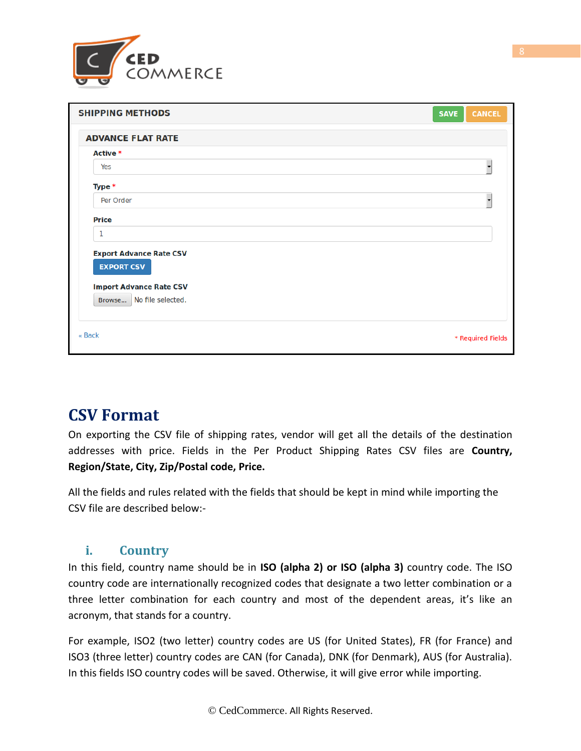

| <b>SHIPPING METHODS</b>                                                               | <b>CANCEL</b><br><b>SAVE</b> |
|---------------------------------------------------------------------------------------|------------------------------|
| <b>ADVANCE FLAT RATE</b>                                                              |                              |
| Active *                                                                              |                              |
| Yes                                                                                   |                              |
| Type *                                                                                |                              |
| Per Order                                                                             |                              |
| <b>Price</b>                                                                          |                              |
| 1                                                                                     |                              |
| <b>Export Advance Rate CSV</b><br><b>EXPORT CSV</b><br><b>Import Advance Rate CSV</b> |                              |
| Browse   No file selected.                                                            |                              |
| « Back                                                                                | * Required Fields            |

## **CSV Format**

On exporting the CSV file of shipping rates, vendor will get all the details of the destination addresses with price. Fields in the Per Product Shipping Rates CSV files are **Country, Region/State, City, Zip/Postal code, Price.** 

All the fields and rules related with the fields that should be kept in mind while importing the CSV file are described below:-

#### **i. Country**

In this field, country name should be in **ISO (alpha 2) or ISO (alpha 3)** country code. The ISO country code are internationally recognized codes that designate a two letter combination or a three letter combination for each country and most of the dependent areas, it's like an acronym, that stands for a country.

For example, ISO2 (two letter) country codes are US (for United States), FR (for France) and ISO3 (three letter) country codes are CAN (for Canada), DNK (for Denmark), AUS (for Australia). In this fields ISO country codes will be saved. Otherwise, it will give error while importing.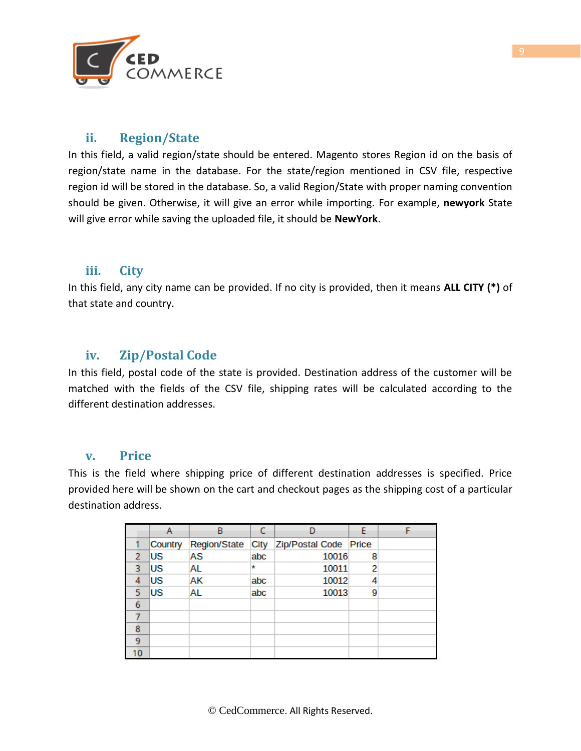

#### **ii. Region/State**

In this field, a valid region/state should be entered. Magento stores Region id on the basis of region/state name in the database. For the state/region mentioned in CSV file, respective region id will be stored in the database. So, a valid Region/State with proper naming convention should be given. Otherwise, it will give an error while importing. For example, **newyork** State will give error while saving the uploaded file, it should be **NewYork**.

#### **iii. City**

In this field, any city name can be provided. If no city is provided, then it means **ALL CITY (\*)** of that state and country.

#### **iv. Zip/Postal Code**

In this field, postal code of the state is provided. Destination address of the customer will be matched with the fields of the CSV file, shipping rates will be calculated according to the different destination addresses.

#### **v. Price**

This is the field where shipping price of different destination addresses is specified. Price provided here will be shown on the cart and checkout pages as the shipping cost of a particular destination address.

|   |         | B                   |      | n                     |   |  |
|---|---------|---------------------|------|-----------------------|---|--|
|   | Country | <b>Region/State</b> | City | Zip/Postal Code Price |   |  |
|   | lus     | AS                  | abc  | 10016                 | 8 |  |
| ર | lus     | AL                  | ŵ    | 10011                 | 2 |  |
|   | lus     | AК                  | abc  | 10012                 |   |  |
|   | lus     | AL                  | abc  | 10013                 | 9 |  |
| 6 |         |                     |      |                       |   |  |
|   |         |                     |      |                       |   |  |
| 8 |         |                     |      |                       |   |  |
| 9 |         |                     |      |                       |   |  |
|   |         |                     |      |                       |   |  |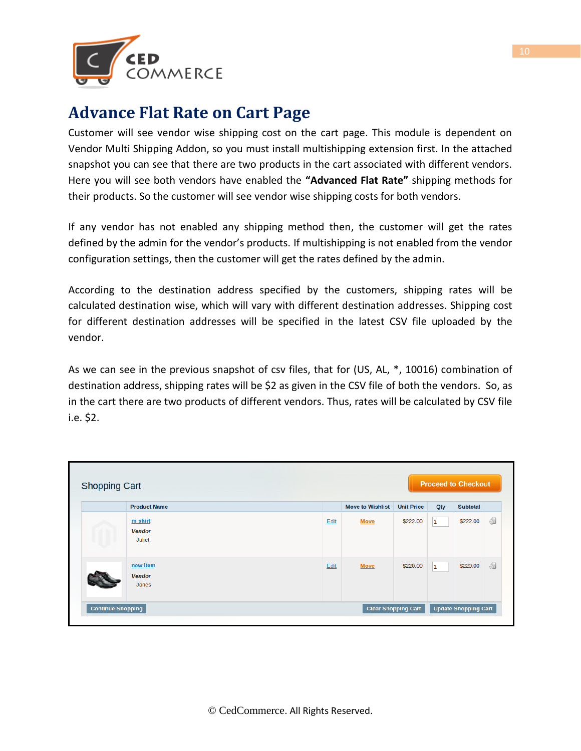

## **Advance Flat Rate on Cart Page**

Customer will see vendor wise shipping cost on the cart page. This module is dependent on Vendor Multi Shipping Addon, so you must install multishipping extension first. In the attached snapshot you can see that there are two products in the cart associated with different vendors. Here you will see both vendors have enabled the **"Advanced Flat Rate"** shipping methods for their products. So the customer will see vendor wise shipping costs for both vendors.

If any vendor has not enabled any shipping method then, the customer will get the rates defined by the admin for the vendor's products. If multishipping is not enabled from the vendor configuration settings, then the customer will get the rates defined by the admin.

According to the destination address specified by the customers, shipping rates will be calculated destination wise, which will vary with different destination addresses. Shipping cost for different destination addresses will be specified in the latest CSV file uploaded by the vendor.

As we can see in the previous snapshot of csv files, that for (US, AL, \*, 10016) combination of destination address, shipping rates will be \$2 as given in the CSV file of both the vendors. So, as in the cart there are two products of different vendors. Thus, rates will be calculated by CSV file i.e. \$2.

| <b>Product Name</b>                       |      | <b>Move to Wishlist</b> | <b>Unit Price</b> | Qty          | <b>Subtotal</b> |    |
|-------------------------------------------|------|-------------------------|-------------------|--------------|-----------------|----|
| m shirt<br><b>Vendor</b><br><b>Juliet</b> | Edit | <b>Move</b>             | \$222.00          | $\mathbf{1}$ | \$222.00        | 6  |
| new item<br><b>Vendor</b><br>Jones        | Edit | <b>Move</b>             | \$220.00          | $\mathbf{1}$ | \$220.00        | 61 |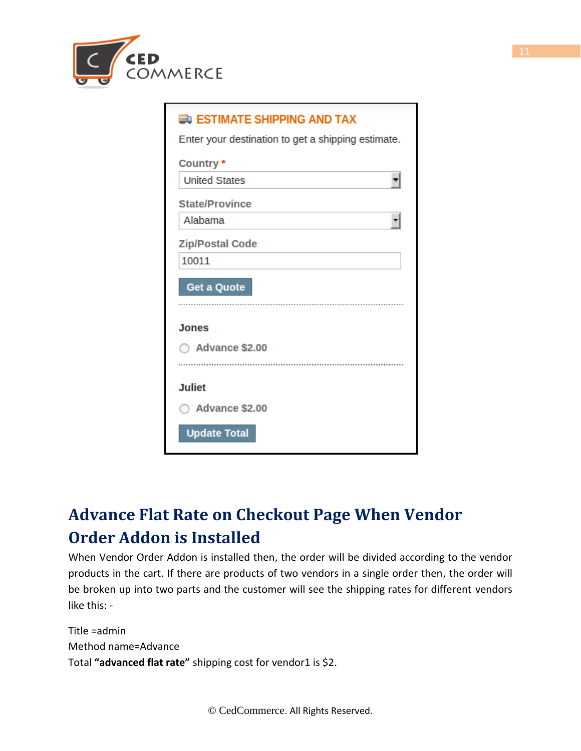

| <b>EDI ESTIMATE SHIPPING AND TAX</b>               |
|----------------------------------------------------|
| Enter your destination to get a shipping estimate. |
| Country*                                           |
| <b>United States</b>                               |
| <b>State/Province</b>                              |
| Alabama                                            |
| <b>Zip/Postal Code</b>                             |
| 10011                                              |
| <b>Get a Quote</b>                                 |
| <b>Jones</b>                                       |
| Advance \$2.00                                     |
| <b>Juliet</b>                                      |
| <b>Advance \$2.00</b>                              |
| <b>Update Total</b>                                |

# **Advance Flat Rate on Checkout Page When Vendor Order Addon is Installed**

When Vendor Order Addon is installed then, the order will be divided according to the vendor products in the cart. If there are products of two vendors in a single order then, the order will be broken up into two parts and the customer will see the shipping rates for different vendors like this: -

Title =admin Method name=Advance Total **"advanced flat rate"** shipping cost for vendor1 is \$2.